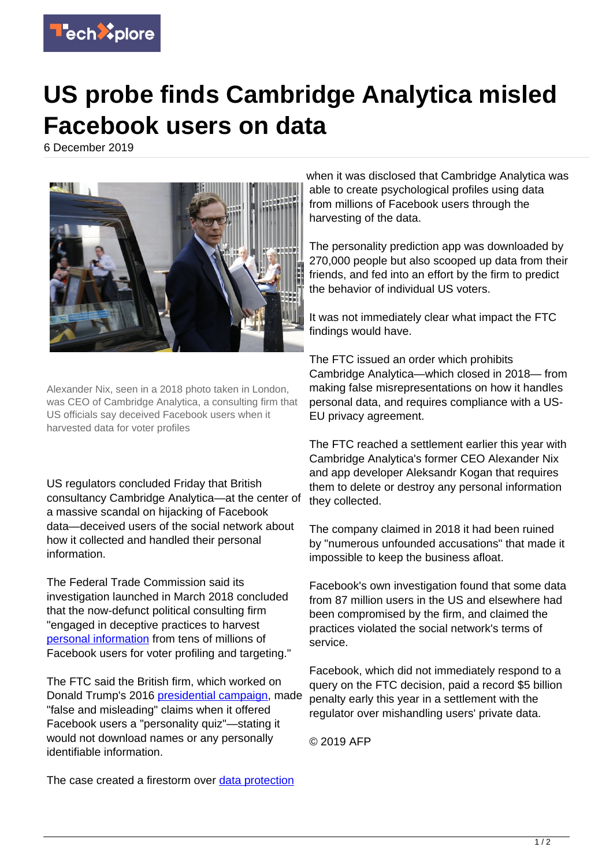

## **US probe finds Cambridge Analytica misled Facebook users on data**

6 December 2019



Alexander Nix, seen in a 2018 photo taken in London, was CEO of Cambridge Analytica, a consulting firm that US officials say deceived Facebook users when it harvested data for voter profiles

US regulators concluded Friday that British consultancy Cambridge Analytica—at the center of a massive scandal on hijacking of Facebook data—deceived users of the social network about how it collected and handled their personal information.

The Federal Trade Commission said its investigation launched in March 2018 concluded that the now-defunct political consulting firm "engaged in deceptive practices to harvest [personal information](https://techxplore.com/tags/personal+information/) from tens of millions of Facebook users for voter profiling and targeting."

The FTC said the British firm, which worked on Donald Trump's 2016 [presidential campaign](https://techxplore.com/tags/presidential+campaign/), made "false and misleading" claims when it offered Facebook users a "personality quiz"—stating it would not download names or any personally identifiable information.

The case created a firestorm over [data protection](https://techxplore.com/tags/data+protection/)

when it was disclosed that Cambridge Analytica was able to create psychological profiles using data from millions of Facebook users through the harvesting of the data.

The personality prediction app was downloaded by 270,000 people but also scooped up data from their friends, and fed into an effort by the firm to predict the behavior of individual US voters.

It was not immediately clear what impact the FTC findings would have.

The FTC issued an order which prohibits Cambridge Analytica—which closed in 2018— from making false misrepresentations on how it handles personal data, and requires compliance with a US-EU privacy agreement.

The FTC reached a settlement earlier this year with Cambridge Analytica's former CEO Alexander Nix and app developer Aleksandr Kogan that requires them to delete or destroy any personal information they collected.

The company claimed in 2018 it had been ruined by "numerous unfounded accusations" that made it impossible to keep the business afloat.

Facebook's own investigation found that some data from 87 million users in the US and elsewhere had been compromised by the firm, and claimed the practices violated the social network's terms of service.

Facebook, which did not immediately respond to a query on the FTC decision, paid a record \$5 billion penalty early this year in a settlement with the regulator over mishandling users' private data.

© 2019 AFP